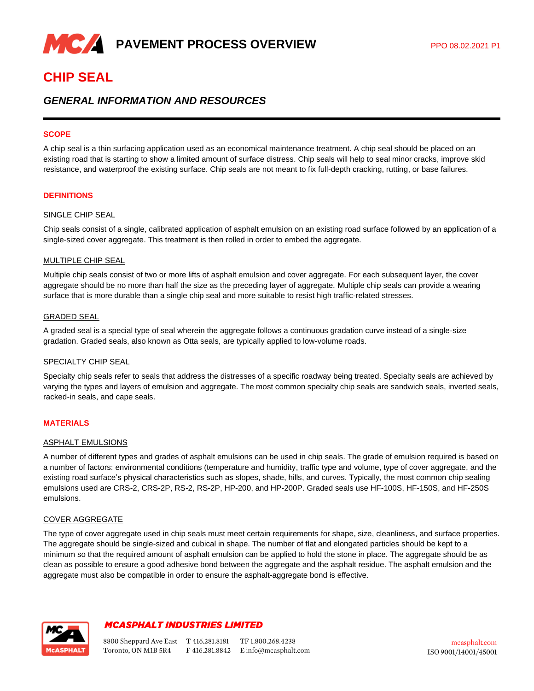

# **CHIP SEAL**

# *GENERAL INFORMATION AND RESOURCES*

### **SCOPE**

A chip seal is a thin surfacing application used as an economical maintenance treatment. A chip seal should be placed on an existing road that is starting to show a limited amount of surface distress. Chip seals will help to seal minor cracks, improve skid resistance, and waterproof the existing surface. Chip seals are not meant to fix full-depth cracking, rutting, or base failures.

### **DEFINITIONS**

## SINGLE CHIP SEAL

Chip seals consist of a single, calibrated application of asphalt emulsion on an existing road surface followed by an application of a single-sized cover aggregate. This treatment is then rolled in order to embed the aggregate.

#### MULTIPLE CHIP SEAL

Multiple chip seals consist of two or more lifts of asphalt emulsion and cover aggregate. For each subsequent layer, the cover aggregate should be no more than half the size as the preceding layer of aggregate. Multiple chip seals can provide a wearing surface that is more durable than a single chip seal and more suitable to resist high traffic-related stresses.

#### GRADED SEAL

A graded seal is a special type of seal wherein the aggregate follows a continuous gradation curve instead of a single-size gradation. Graded seals, also known as Otta seals, are typically applied to low-volume roads.

#### SPECIALTY CHIP SEAL

Specialty chip seals refer to seals that address the distresses of a specific roadway being treated. Specialty seals are achieved by varying the types and layers of emulsion and aggregate. The most common specialty chip seals are sandwich seals, inverted seals, racked-in seals, and cape seals.

### **MATERIALS**

#### ASPHALT EMULSIONS

A number of different types and grades of asphalt emulsions can be used in chip seals. The grade of emulsion required is based on a number of factors: environmental conditions (temperature and humidity, traffic type and volume, type of cover aggregate, and the existing road surface's physical characteristics such as slopes, shade, hills, and curves. Typically, the most common chip sealing emulsions used are CRS-2, CRS-2P, RS-2, RS-2P, HP-200, and HP-200P. Graded seals use HF-100S, HF-150S, and HF-250S emulsions.

#### COVER AGGREGATE

The type of cover aggregate used in chip seals must meet certain requirements for shape, size, cleanliness, and surface properties. The aggregate should be single-sized and cubical in shape. The number of flat and elongated particles should be kept to a minimum so that the required amount of asphalt emulsion can be applied to hold the stone in place. The aggregate should be as clean as possible to ensure a good adhesive bond between the aggregate and the asphalt residue. The asphalt emulsion and the aggregate must also be compatible in order to ensure the asphalt-aggregate bond is effective.



# **MCASPHALT INDUSTRIES LIMITED**

8800 Sheppard Ave East T 416.281.8181 TF 1.800.268.4238 Toronto, ON M1B 5R4 F 416.281.8842 E info@mcasphalt.com

mcasphalt.com ISO 9001/14001/45001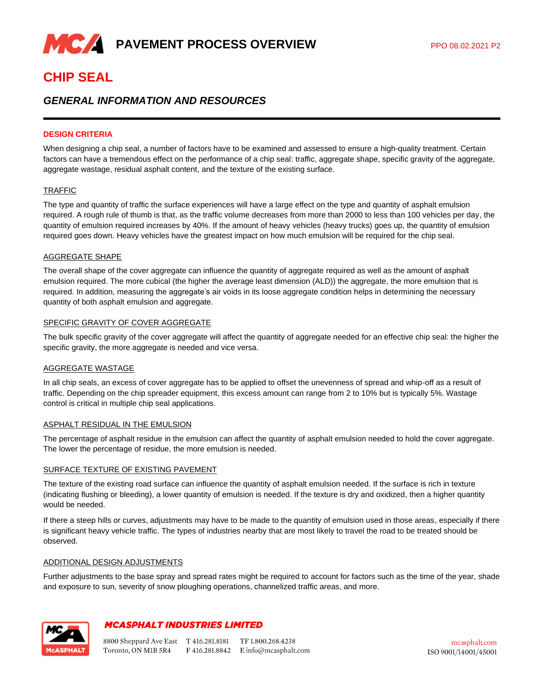

# **CHIP SEAL**

# *GENERAL INFORMATION AND RESOURCES*

# **DESIGN CRITERIA**

When designing a chip seal, a number of factors have to be examined and assessed to ensure a high-quality treatment. Certain factors can have a tremendous effect on the performance of a chip seal: traffic, aggregate shape, specific gravity of the aggregate, aggregate wastage, residual asphalt content, and the texture of the existing surface.

#### TRAFFIC

The type and quantity of traffic the surface experiences will have a large effect on the type and quantity of asphalt emulsion required. A rough rule of thumb is that, as the traffic volume decreases from more than 2000 to less than 100 vehicles per day, the quantity of emulsion required increases by 40%. If the amount of heavy vehicles (heavy trucks) goes up, the quantity of emulsion required goes down. Heavy vehicles have the greatest impact on how much emulsion will be required for the chip seal.

#### AGGREGATE SHAPE

The overall shape of the cover aggregate can influence the quantity of aggregate required as well as the amount of asphalt emulsion required. The more cubical (the higher the average least dimension (ALD)) the aggregate, the more emulsion that is required. In addition, measuring the aggregate's air voids in its loose aggregate condition helps in determining the necessary quantity of both asphalt emulsion and aggregate.

#### SPECIFIC GRAVITY OF COVER AGGREGATE

The bulk specific gravity of the cover aggregate will affect the quantity of aggregate needed for an effective chip seal: the higher the specific gravity, the more aggregate is needed and vice versa.

#### AGGREGATE WASTAGE

In all chip seals, an excess of cover aggregate has to be applied to offset the unevenness of spread and whip-off as a result of traffic. Depending on the chip spreader equipment, this excess amount can range from 2 to 10% but is typically 5%. Wastage control is critical in multiple chip seal applications.

#### ASPHALT RESIDUAL IN THE EMULSION

The percentage of asphalt residue in the emulsion can affect the quantity of asphalt emulsion needed to hold the cover aggregate. The lower the percentage of residue, the more emulsion is needed.

#### SURFACE TEXTURE OF EXISTING PAVEMENT

The texture of the existing road surface can influence the quantity of asphalt emulsion needed. If the surface is rich in texture (indicating flushing or bleeding), a lower quantity of emulsion is needed. If the texture is dry and oxidized, then a higher quantity would be needed.

If there a steep hills or curves, adjustments may have to be made to the quantity of emulsion used in those areas, especially if there is significant heavy vehicle traffic. The types of industries nearby that are most likely to travel the road to be treated should be observed.

#### ADDITIONAL DESIGN ADJUSTMENTS

Further adjustments to the base spray and spread rates might be required to account for factors such as the time of the year, shade and exposure to sun, severity of snow ploughing operations, channelized traffic areas, and more.



# **MCASPHALT INDUSTRIES LIMITED**

8800 Sheppard Ave East T 416.281.8181 TF 1.800.268.4238 Toronto, ON M1B 5R4 F 416.281.8842 E info@mcasphalt.com

mcasphalt.com ISO 9001/14001/45001